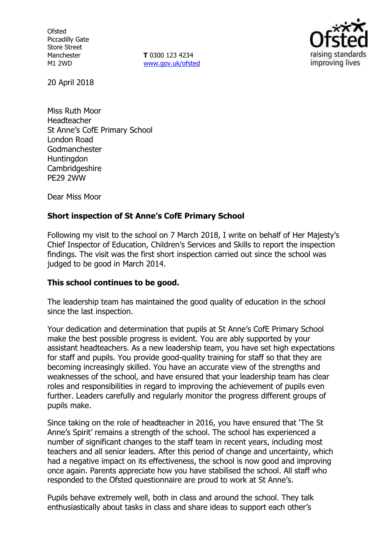**Ofsted** Piccadilly Gate Store Street Manchester M1 2WD

**T** 0300 123 4234 www.gov.uk/ofsted



20 April 2018

Miss Ruth Moor Headteacher St Anne's CofE Primary School London Road Godmanchester **Huntingdon Cambridgeshire** PE29 2WW

Dear Miss Moor

#### **Short inspection of St Anne's CofE Primary School**

Following my visit to the school on 7 March 2018, I write on behalf of Her Majesty's Chief Inspector of Education, Children's Services and Skills to report the inspection findings. The visit was the first short inspection carried out since the school was judged to be good in March 2014.

### **This school continues to be good.**

The leadership team has maintained the good quality of education in the school since the last inspection.

Your dedication and determination that pupils at St Anne's CofE Primary School make the best possible progress is evident. You are ably supported by your assistant headteachers. As a new leadership team, you have set high expectations for staff and pupils. You provide good-quality training for staff so that they are becoming increasingly skilled. You have an accurate view of the strengths and weaknesses of the school, and have ensured that your leadership team has clear roles and responsibilities in regard to improving the achievement of pupils even further. Leaders carefully and regularly monitor the progress different groups of pupils make.

Since taking on the role of headteacher in 2016, you have ensured that 'The St Anne's Spirit' remains a strength of the school. The school has experienced a number of significant changes to the staff team in recent years, including most teachers and all senior leaders. After this period of change and uncertainty, which had a negative impact on its effectiveness, the school is now good and improving once again. Parents appreciate how you have stabilised the school. All staff who responded to the Ofsted questionnaire are proud to work at St Anne's.

Pupils behave extremely well, both in class and around the school. They talk enthusiastically about tasks in class and share ideas to support each other's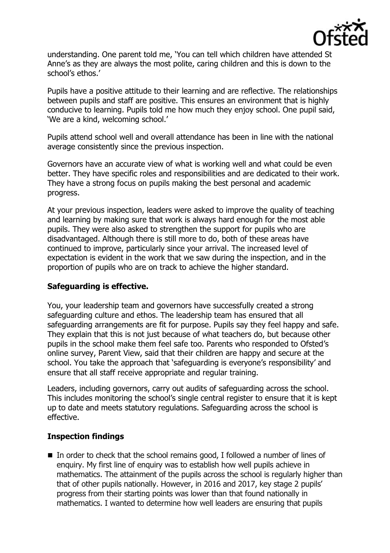

understanding. One parent told me, 'You can tell which children have attended St Anne's as they are always the most polite, caring children and this is down to the school's ethos.'

Pupils have a positive attitude to their learning and are reflective. The relationships between pupils and staff are positive. This ensures an environment that is highly conducive to learning. Pupils told me how much they enjoy school. One pupil said, 'We are a kind, welcoming school.'

Pupils attend school well and overall attendance has been in line with the national average consistently since the previous inspection.

Governors have an accurate view of what is working well and what could be even better. They have specific roles and responsibilities and are dedicated to their work. They have a strong focus on pupils making the best personal and academic progress.

At your previous inspection, leaders were asked to improve the quality of teaching and learning by making sure that work is always hard enough for the most able pupils. They were also asked to strengthen the support for pupils who are disadvantaged. Although there is still more to do, both of these areas have continued to improve, particularly since your arrival. The increased level of expectation is evident in the work that we saw during the inspection, and in the proportion of pupils who are on track to achieve the higher standard.

### **Safeguarding is effective.**

You, your leadership team and governors have successfully created a strong safeguarding culture and ethos. The leadership team has ensured that all safeguarding arrangements are fit for purpose. Pupils say they feel happy and safe. They explain that this is not just because of what teachers do, but because other pupils in the school make them feel safe too. Parents who responded to Ofsted's online survey, Parent View, said that their children are happy and secure at the school. You take the approach that 'safeguarding is everyone's responsibility' and ensure that all staff receive appropriate and regular training.

Leaders, including governors, carry out audits of safeguarding across the school. This includes monitoring the school's single central register to ensure that it is kept up to date and meets statutory regulations. Safeguarding across the school is effective.

# **Inspection findings**

In order to check that the school remains good, I followed a number of lines of enquiry. My first line of enquiry was to establish how well pupils achieve in mathematics. The attainment of the pupils across the school is regularly higher than that of other pupils nationally. However, in 2016 and 2017, key stage 2 pupils' progress from their starting points was lower than that found nationally in mathematics. I wanted to determine how well leaders are ensuring that pupils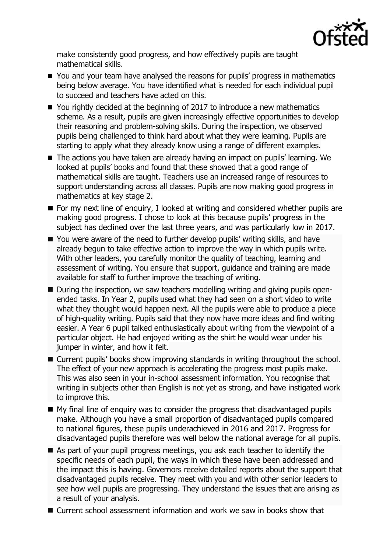

make consistently good progress, and how effectively pupils are taught mathematical skills.

- You and your team have analysed the reasons for pupils' progress in mathematics being below average. You have identified what is needed for each individual pupil to succeed and teachers have acted on this.
- You rightly decided at the beginning of 2017 to introduce a new mathematics scheme. As a result, pupils are given increasingly effective opportunities to develop their reasoning and problem-solving skills. During the inspection, we observed pupils being challenged to think hard about what they were learning. Pupils are starting to apply what they already know using a range of different examples.
- The actions you have taken are already having an impact on pupils' learning. We looked at pupils' books and found that these showed that a good range of mathematical skills are taught. Teachers use an increased range of resources to support understanding across all classes. Pupils are now making good progress in mathematics at key stage 2.
- For my next line of enguiry, I looked at writing and considered whether pupils are making good progress. I chose to look at this because pupils' progress in the subject has declined over the last three years, and was particularly low in 2017.
- You were aware of the need to further develop pupils' writing skills, and have already begun to take effective action to improve the way in which pupils write. With other leaders, you carefully monitor the quality of teaching, learning and assessment of writing. You ensure that support, guidance and training are made available for staff to further improve the teaching of writing.
- During the inspection, we saw teachers modelling writing and giving pupils openended tasks. In Year 2, pupils used what they had seen on a short video to write what they thought would happen next. All the pupils were able to produce a piece of high-quality writing. Pupils said that they now have more ideas and find writing easier. A Year 6 pupil talked enthusiastically about writing from the viewpoint of a particular object. He had enjoyed writing as the shirt he would wear under his jumper in winter, and how it felt.
- Current pupils' books show improving standards in writing throughout the school. The effect of your new approach is accelerating the progress most pupils make. This was also seen in your in-school assessment information. You recognise that writing in subjects other than English is not yet as strong, and have instigated work to improve this.
- My final line of enquiry was to consider the progress that disadvantaged pupils make. Although you have a small proportion of disadvantaged pupils compared to national figures, these pupils underachieved in 2016 and 2017. Progress for disadvantaged pupils therefore was well below the national average for all pupils.
- As part of your pupil progress meetings, you ask each teacher to identify the specific needs of each pupil, the ways in which these have been addressed and the impact this is having. Governors receive detailed reports about the support that disadvantaged pupils receive. They meet with you and with other senior leaders to see how well pupils are progressing. They understand the issues that are arising as a result of your analysis.
- Current school assessment information and work we saw in books show that